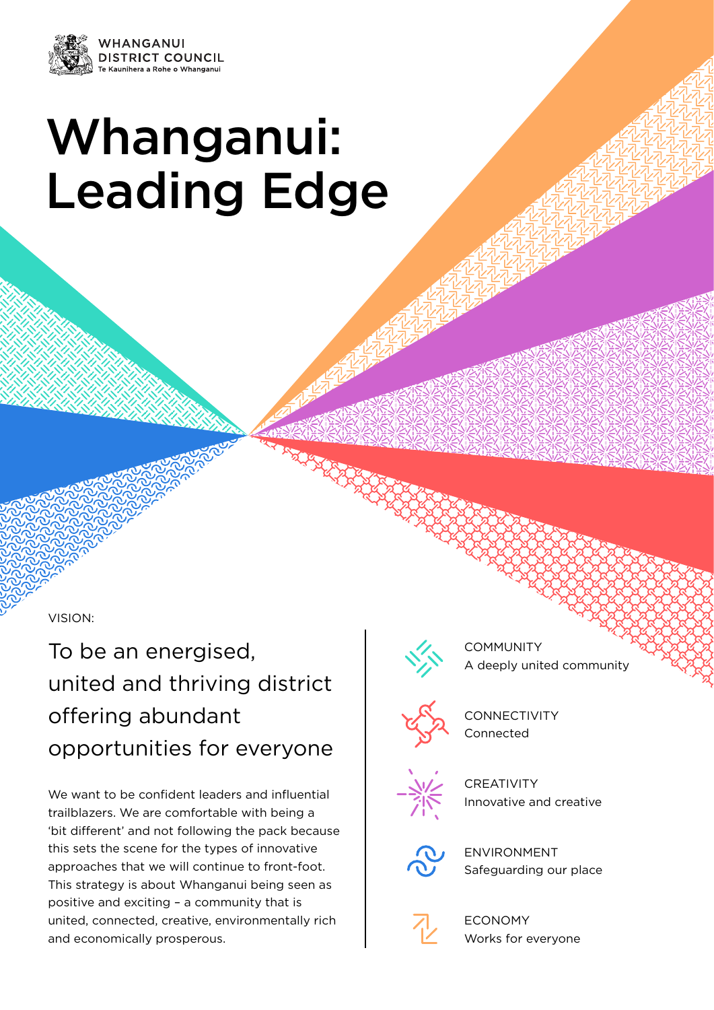

# Whanganui: Leading Edge

VISION:

To be an energised, united and thriving district offering abundant opportunities for everyone

We want to be confident leaders and influential trailblazers. We are comfortable with being a 'bit different' and not following the pack because this sets the scene for the types of innovative approaches that we will continue to front-foot. This strategy is about Whanganui being seen as positive and exciting – a community that is united, connected, creative, environmentally rich and economically prosperous.



**COMMUNITY** A deeply united community



**CONNECTIVITY** Connected



**CREATIVITY** Innovative and creative



ENVIRONMENT Safeguarding our place



ECONOMY Works for everyone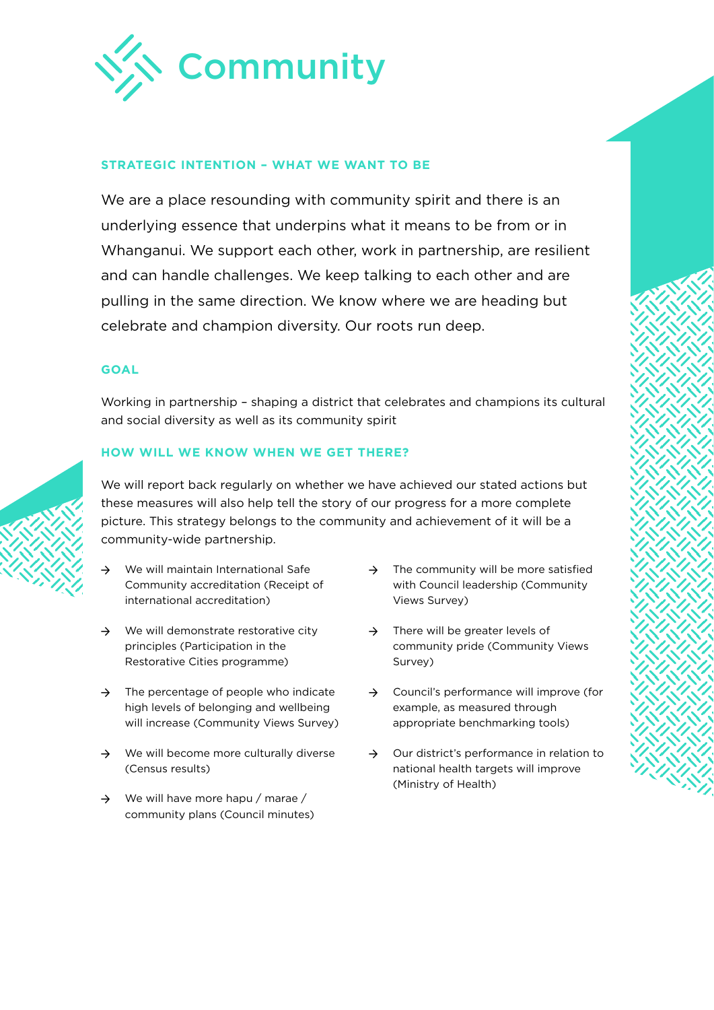

# **STRATEGIC INTENTION – WHAT WE WANT TO BE**

We are a place resounding with community spirit and there is an underlying essence that underpins what it means to be from or in Whanganui. We support each other, work in partnership, are resilient and can handle challenges. We keep talking to each other and are pulling in the same direction. We know where we are heading but celebrate and champion diversity. Our roots run deep.

# **GOAL**

Working in partnership – shaping a district that celebrates and champions its cultural and social diversity as well as its community spirit

# **HOW WILL WE KNOW WHEN WE GET THERE?**

- → We will maintain International Safe Community accreditation (Receipt of international accreditation)
- $\rightarrow$  We will demonstrate restorative city principles (Participation in the Restorative Cities programme)
- $\rightarrow$  The percentage of people who indicate high levels of belonging and wellbeing will increase (Community Views Survey)
- → We will become more culturally diverse (Census results)
- $\rightarrow$  We will have more hapu / marae / community plans (Council minutes)
- $\rightarrow$  The community will be more satisfied with Council leadership (Community Views Survey)
- $\rightarrow$  There will be greater levels of community pride (Community Views Survey)
- → Council's performance will improve (for example, as measured through appropriate benchmarking tools)
- → Our district's performance in relation to national health targets will improve (Ministry of Health)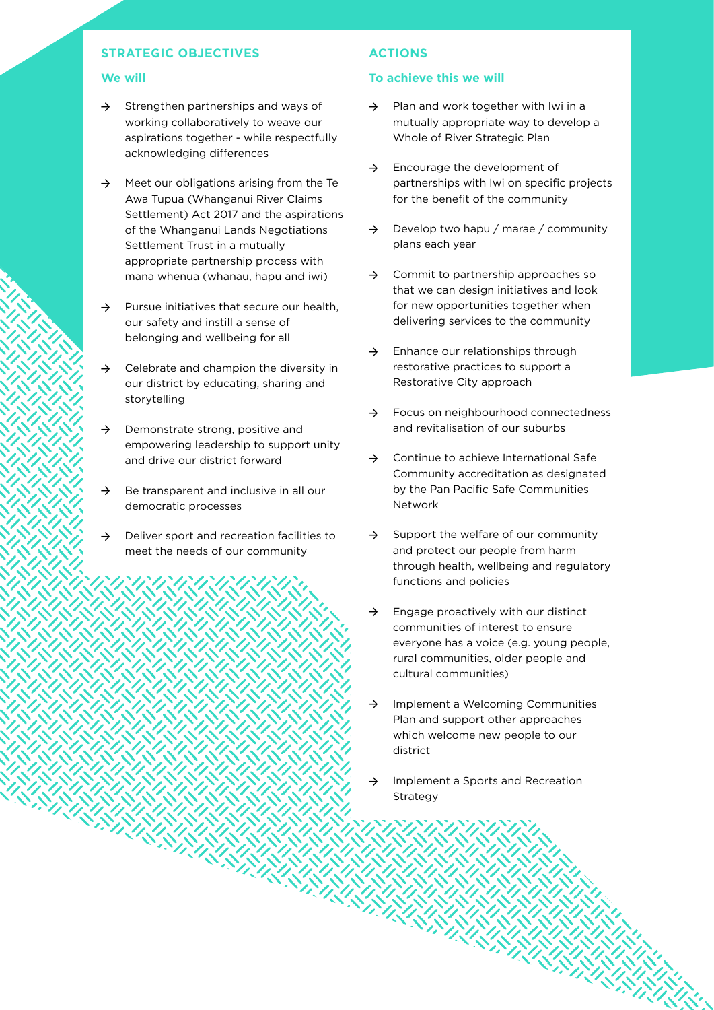## **We will**

- $\rightarrow$  Strengthen partnerships and ways of working collaboratively to weave our aspirations together - while respectfully acknowledging differences
- $\rightarrow$  Meet our obligations arising from the Te Awa Tupua (Whanganui River Claims Settlement) Act 2017 and the aspirations of the Whanganui Lands Negotiations Settlement Trust in a mutually appropriate partnership process with mana whenua (whanau, hapu and iwi)
- $\rightarrow$  Pursue initiatives that secure our health, our safety and instill a sense of belonging and wellbeing for all
- $\rightarrow$  Celebrate and champion the diversity in our district by educating, sharing and storytelling
- $\rightarrow$  Demonstrate strong, positive and empowering leadership to support unity and drive our district forward
- $\rightarrow$  Be transparent and inclusive in all our democratic processes
- $\rightarrow$  Deliver sport and recreation facilities to meet the needs of our community

# **ACTIONS**

- $\rightarrow$  Plan and work together with Iwi in a mutually appropriate way to develop a Whole of River Strategic Plan
- $\rightarrow$  Encourage the development of partnerships with Iwi on specific projects for the benefit of the community
- $\rightarrow$  Develop two hapu / marae / community plans each year
- → Commit to partnership approaches so that we can design initiatives and look for new opportunities together when delivering services to the community
- $\rightarrow$  Enhance our relationships through restorative practices to support a Restorative City approach
- → Focus on neighbourhood connectedness and revitalisation of our suburbs
- → Continue to achieve International Safe Community accreditation as designated by the Pan Pacific Safe Communities Network
- $\rightarrow$  Support the welfare of our community and protect our people from harm through health, wellbeing and regulatory functions and policies
- $\rightarrow$  Engage proactively with our distinct communities of interest to ensure everyone has a voice (e.g. young people, rural communities, older people and cultural communities)
- → Implement a Welcoming Communities Plan and support other approaches which welcome new people to our district
- $\rightarrow$  Implement a Sports and Recreation Strategy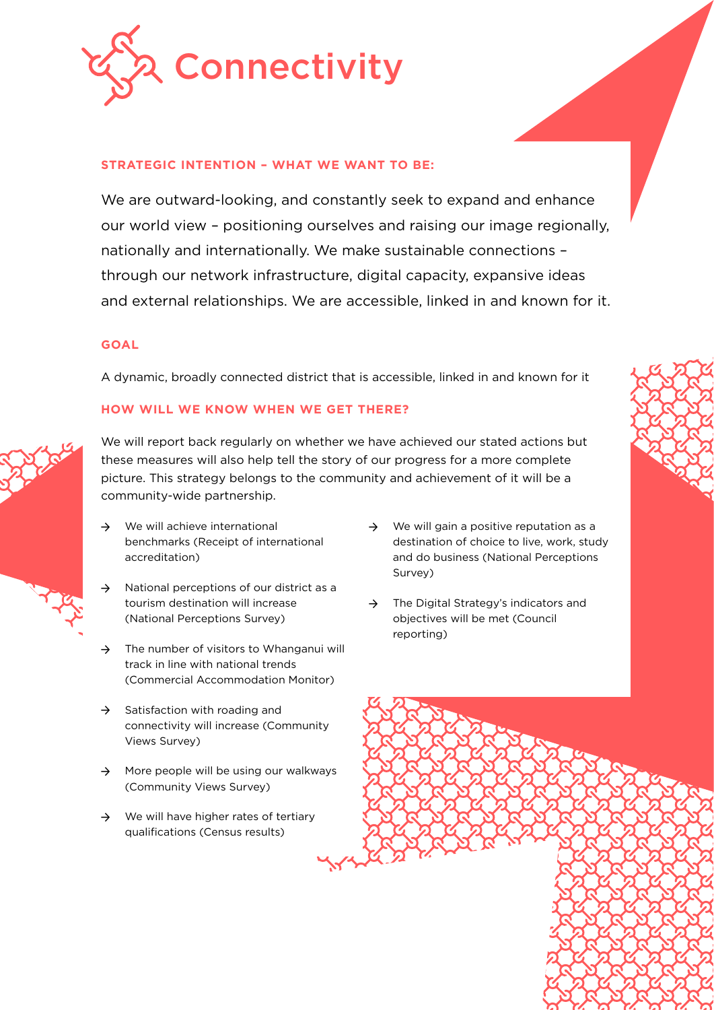

# **STRATEGIC INTENTION – WHAT WE WANT TO BE:**

We are outward-looking, and constantly seek to expand and enhance our world view – positioning ourselves and raising our image regionally, nationally and internationally. We make sustainable connections – through our network infrastructure, digital capacity, expansive ideas and external relationships. We are accessible, linked in and known for it.

# **GOAL**

A dynamic, broadly connected district that is accessible, linked in and known for it

# **HOW WILL WE KNOW WHEN WE GET THERE?**



- $\rightarrow$  We will achieve international benchmarks (Receipt of international accreditation)
- National perceptions of our district as a tourism destination will increase (National Perceptions Survey)
- $\rightarrow$  The number of visitors to Whanganui will track in line with national trends (Commercial Accommodation Monitor)
- $\rightarrow$  Satisfaction with roading and connectivity will increase (Community Views Survey)
- $\rightarrow$  More people will be using our walkways (Community Views Survey)
- $\rightarrow$  We will have higher rates of tertiary qualifications (Census results)
- $\rightarrow$  We will gain a positive reputation as a destination of choice to live, work, study and do business (National Perceptions Survey)
- → The Digital Strategy's indicators and objectives will be met (Council reporting)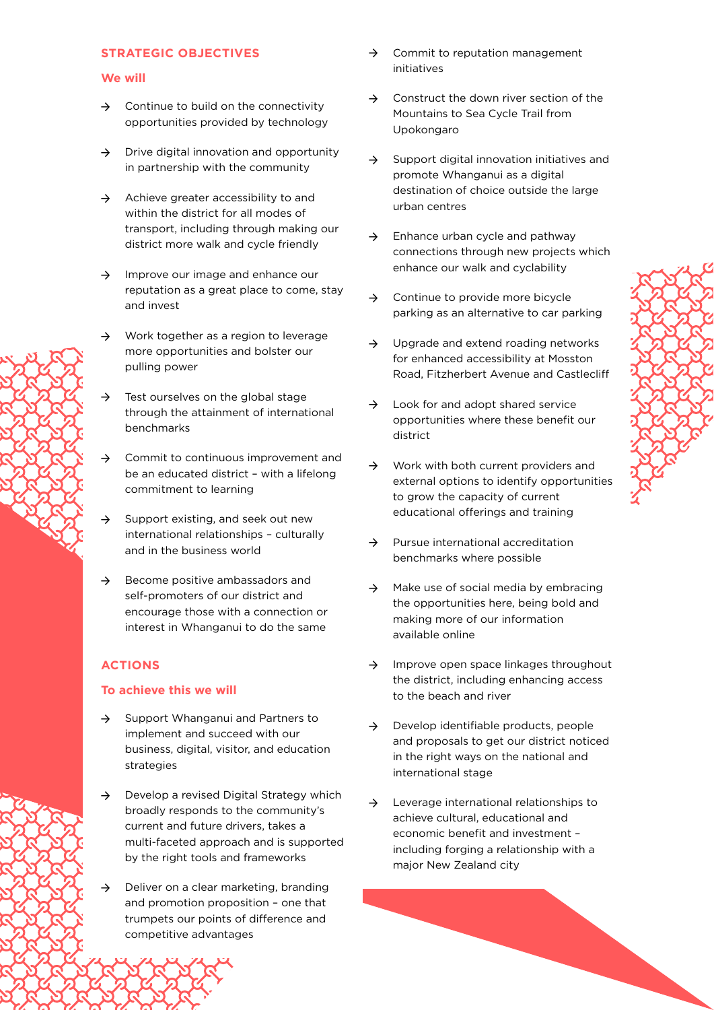## **We will**

- $\rightarrow$  Continue to build on the connectivity opportunities provided by technology
- $\rightarrow$  Drive digital innovation and opportunity in partnership with the community
- → Achieve greater accessibility to and within the district for all modes of transport, including through making our district more walk and cycle friendly
- $\rightarrow$  Improve our image and enhance our reputation as a great place to come, stay and invest
- → Work together as a region to leverage more opportunities and bolster our pulling power
- $\rightarrow$  Test ourselves on the global stage through the attainment of international benchmarks
- → Commit to continuous improvement and be an educated district – with a lifelong commitment to learning
- $\rightarrow$  Support existing, and seek out new international relationships – culturally and in the business world
- $\rightarrow$  Become positive ambassadors and self-promoters of our district and encourage those with a connection or interest in Whanganui to do the same

# **ACTIONS**

- → Support Whanganui and Partners to implement and succeed with our business, digital, visitor, and education strategies
- → Develop a revised Digital Strategy which broadly responds to the community's current and future drivers, takes a multi-faceted approach and is supported by the right tools and frameworks
- $\rightarrow$  Deliver on a clear marketing, branding and promotion proposition – one that trumpets our points of difference and competitive advantages
- $\rightarrow$  Commit to reputation management initiatives
- → Construct the down river section of the Mountains to Sea Cycle Trail from Upokongaro
- $\rightarrow$  Support digital innovation initiatives and promote Whanganui as a digital destination of choice outside the large urban centres
- $\rightarrow$  Enhance urban cycle and pathway connections through new projects which enhance our walk and cyclability
- $\rightarrow$  Continue to provide more bicycle parking as an alternative to car parking
- $\rightarrow$  Upgrade and extend roading networks for enhanced accessibility at Mosston Road, Fitzherbert Avenue and Castlecliff
- $\rightarrow$  Look for and adopt shared service opportunities where these benefit our district
- → Work with both current providers and external options to identify opportunities to grow the capacity of current educational offerings and training
- → Pursue international accreditation benchmarks where possible
- $\rightarrow$  Make use of social media by embracing the opportunities here, being bold and making more of our information available online
- $\rightarrow$  Improve open space linkages throughout the district, including enhancing access to the beach and river
- $\rightarrow$  Develop identifiable products, people and proposals to get our district noticed in the right ways on the national and international stage
- $\rightarrow$  Leverage international relationships to achieve cultural, educational and economic benefit and investment – including forging a relationship with a major New Zealand city

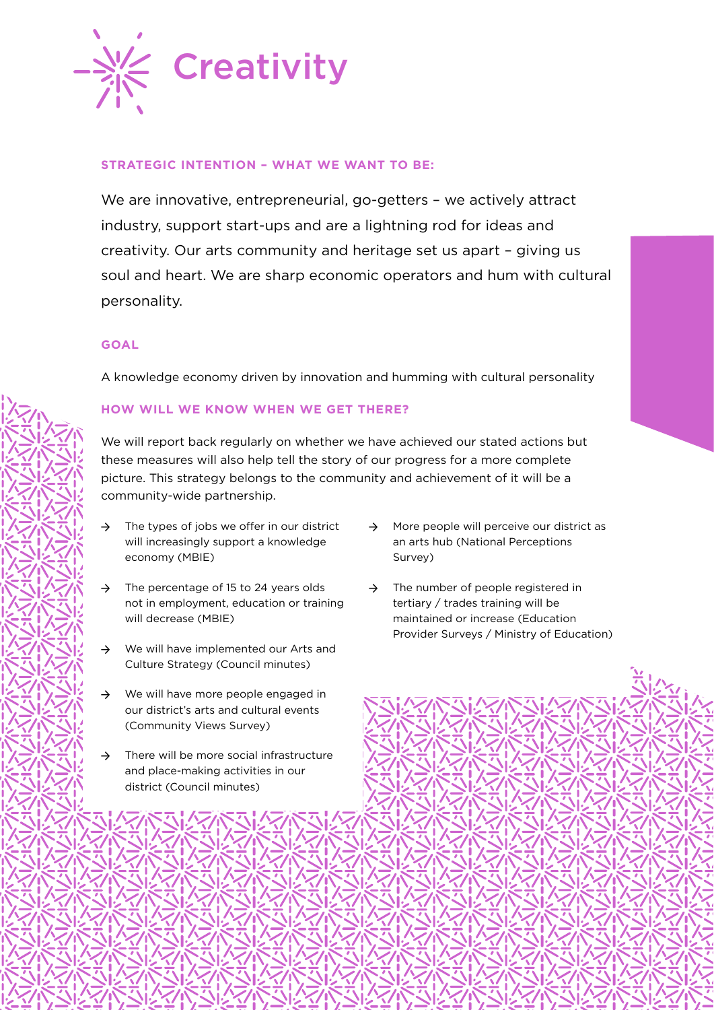

# **STRATEGIC INTENTION – WHAT WE WANT TO BE:**

We are innovative, entrepreneurial, go-getters - we actively attract industry, support start-ups and are a lightning rod for ideas and creativity. Our arts community and heritage set us apart – giving us soul and heart. We are sharp economic operators and hum with cultural personality.

## **GOAL**

A knowledge economy driven by innovation and humming with cultural personality

# **HOW WILL WE KNOW WHEN WE GET THERE?**

- $\rightarrow$  The types of jobs we offer in our district will increasingly support a knowledge economy (MBIE)
- $\rightarrow$  The percentage of 15 to 24 years olds not in employment, education or training will decrease (MBIE)
- → We will have implemented our Arts and Culture Strategy (Council minutes)
- $\rightarrow$  We will have more people engaged in our district's arts and cultural events (Community Views Survey)
- → There will be more social infrastructure and place-making activities in our district (Council minutes)
- → More people will perceive our district as an arts hub (National Perceptions Survey)
- $\rightarrow$  The number of people registered in tertiary / trades training will be maintained or increase (Education Provider Surveys / Ministry of Education)

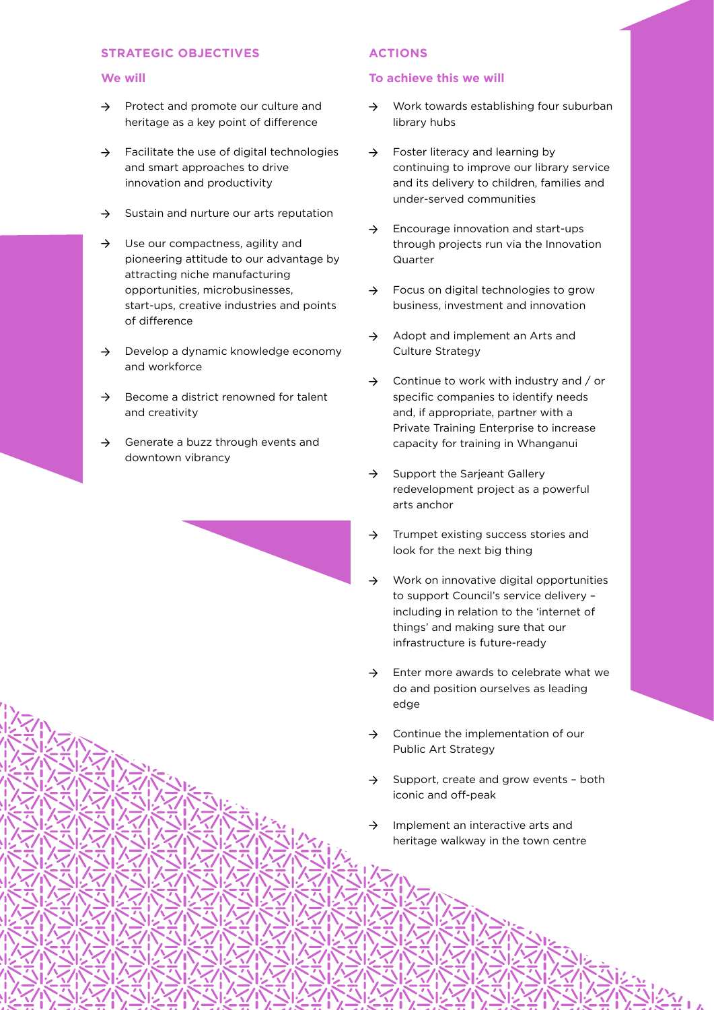#### **We will**

- → Protect and promote our culture and heritage as a key point of difference
- $\rightarrow$  Facilitate the use of digital technologies and smart approaches to drive innovation and productivity
- $\rightarrow$  Sustain and nurture our arts reputation
- → Use our compactness, agility and pioneering attitude to our advantage by attracting niche manufacturing opportunities, microbusinesses, start-ups, creative industries and points of difference
- $\rightarrow$  Develop a dynamic knowledge economy and workforce
- $\rightarrow$  Become a district renowned for talent and creativity
- $\rightarrow$  Generate a buzz through events and downtown vibrancy

## **ACTIONS**

- → Work towards establishing four suburban library hubs
- $\rightarrow$  Foster literacy and learning by continuing to improve our library service and its delivery to children, families and under-served communities
- $\rightarrow$  Encourage innovation and start-ups through projects run via the Innovation Quarter
- $\rightarrow$  Focus on digital technologies to grow business, investment and innovation
- → Adopt and implement an Arts and Culture Strategy
- $\rightarrow$  Continue to work with industry and / or specific companies to identify needs and, if appropriate, partner with a Private Training Enterprise to increase capacity for training in Whanganui
- $\rightarrow$  Support the Sarjeant Gallery redevelopment project as a powerful arts anchor
- → Trumpet existing success stories and look for the next big thing
- → Work on innovative digital opportunities to support Council's service delivery – including in relation to the 'internet of things' and making sure that our infrastructure is future-ready
- $\rightarrow$  Enter more awards to celebrate what we do and position ourselves as leading edge
- $\rightarrow$  Continue the implementation of our Public Art Strategy
- → Support, create and grow events both iconic and off-peak
- Implement an interactive arts and heritage walkway in the town centre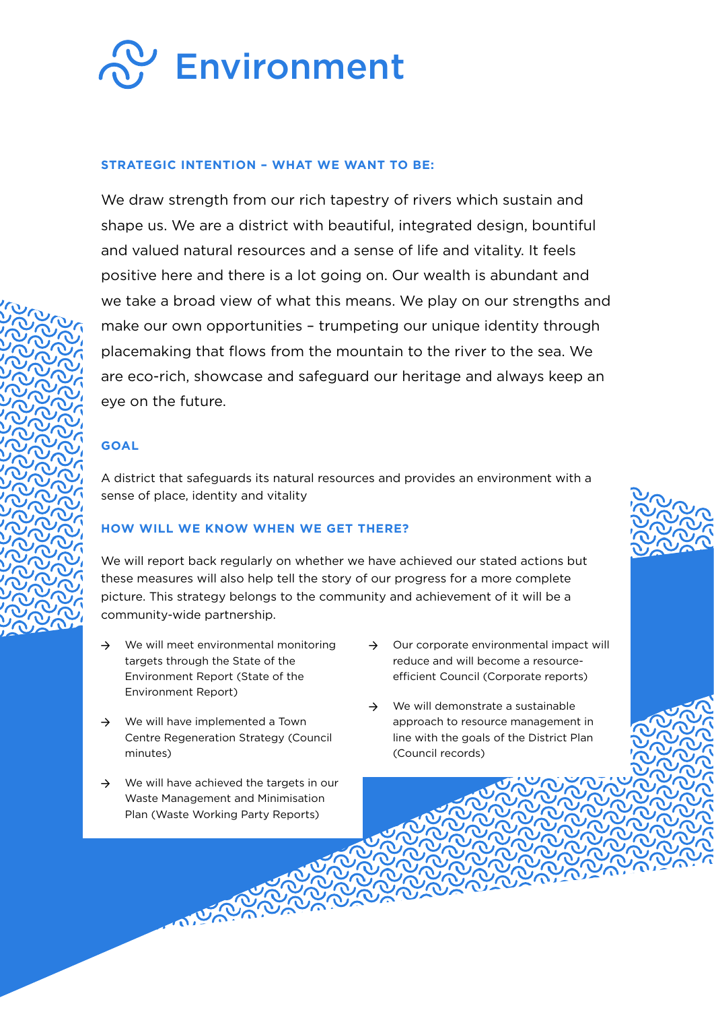

# **STRATEGIC INTENTION – WHAT WE WANT TO BE:**

We draw strength from our rich tapestry of rivers which sustain and shape us. We are a district with beautiful, integrated design, bountiful and valued natural resources and a sense of life and vitality. It feels positive here and there is a lot going on. Our wealth is abundant and we take a broad view of what this means. We play on our strengths and make our own opportunities – trumpeting our unique identity through placemaking that flows from the mountain to the river to the sea. We are eco-rich, showcase and safeguard our heritage and always keep an eye on the future.

# **GOAL**

A district that safeguards its natural resources and provides an environment with a sense of place, identity and vitality

# **HOW WILL WE KNOW WHEN WE GET THERE?**

- $\rightarrow$  We will meet environmental monitoring targets through the State of the Environment Report (State of the Environment Report)
- → We will have implemented a Town Centre Regeneration Strategy (Council minutes)
- $\rightarrow$  We will have achieved the targets in our Waste Management and Minimisation Plan (Waste Working Party Reports)
- $\rightarrow$  Our corporate environmental impact will reduce and will become a resourceefficient Council (Corporate reports)
- → We will demonstrate a sustainable approach to resource management in line with the goals of the District Plan (Council records)

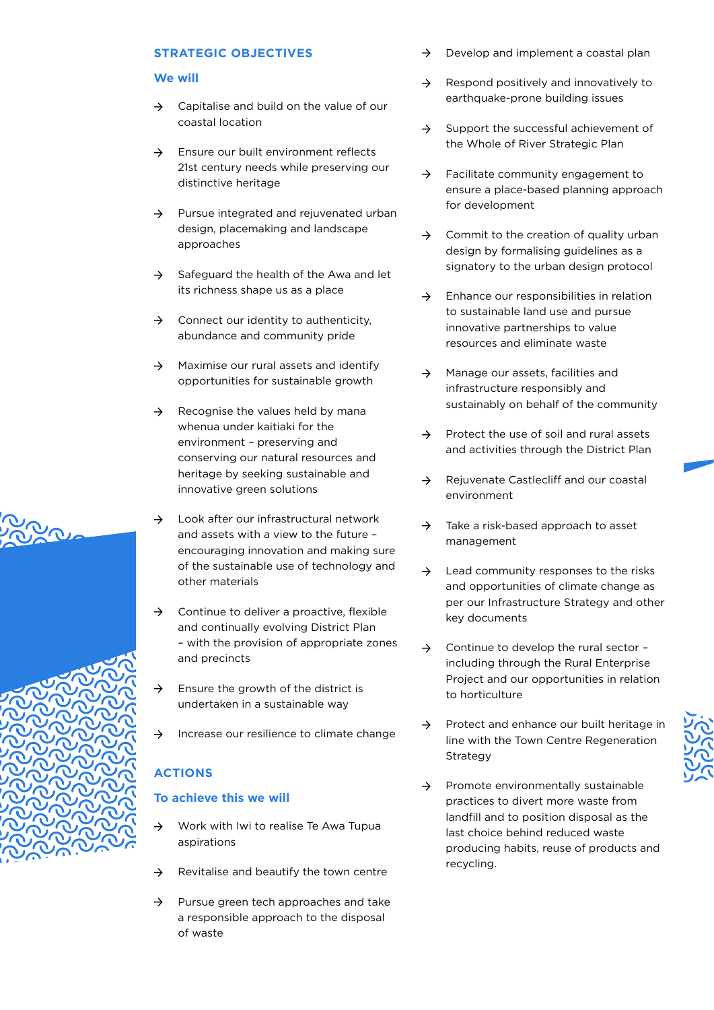## **We will**

- $\rightarrow$  Capitalise and build on the value of our coastal location
- → Ensure our built environment reflects 21st century needs while preserving our distinctive heritage
- → Pursue integrated and rejuvenated urban design, placemaking and landscape approaches
- $\rightarrow$  Safeguard the health of the Awa and let its richness shape us as a place
- $\rightarrow$  Connect our identity to authenticity, abundance and community pride
- $\rightarrow$  Maximise our rural assets and identify opportunities for sustainable growth
- $\rightarrow$  Recognise the values held by mana whenua under kaitiaki for the environment – preserving and conserving our natural resources and heritage by seeking sustainable and innovative green solutions
	- Look after our infrastructural network and assets with a view to the future – encouraging innovation and making sure of the sustainable use of technology and other materials
- Continue to deliver a proactive, flexible and continually evolving District Plan – with the provision of appropriate zones and precincts
- $\rightarrow$  Ensure the growth of the district is undertaken in a sustainable way
- $\rightarrow$  Increase our resilience to climate change

# **ACTIONS**

- → Work with Iwi to realise Te Awa Tupua aspirations
- $\rightarrow$  Revitalise and beautify the town centre
- $\rightarrow$  Pursue green tech approaches and take a responsible approach to the disposal of waste
- Develop and implement a coastal plan
- $\rightarrow$  Respond positively and innovatively to earthquake-prone building issues
- $\rightarrow$  Support the successful achievement of the Whole of River Strategic Plan
- $\rightarrow$  Facilitate community engagement to ensure a place-based planning approach for development
- $\rightarrow$  Commit to the creation of quality urban design by formalising guidelines as a signatory to the urban design protocol
- $\rightarrow$  Enhance our responsibilities in relation to sustainable land use and pursue innovative partnerships to value resources and eliminate waste
- $\rightarrow$  Manage our assets, facilities and infrastructure responsibly and sustainably on behalf of the community
- $\rightarrow$  Protect the use of soil and rural assets and activities through the District Plan
- → Rejuvenate Castlecliff and our coastal environment
- $\rightarrow$  Take a risk-based approach to asset management
- $\rightarrow$  Lead community responses to the risks and opportunities of climate change as per our Infrastructure Strategy and other key documents
- → Continue to develop the rural sector including through the Rural Enterprise Project and our opportunities in relation to horticulture
- → Protect and enhance our built heritage in line with the Town Centre Regeneration Strategy
- → Promote environmentally sustainable practices to divert more waste from landfill and to position disposal as the last choice behind reduced waste producing habits, reuse of products and recycling.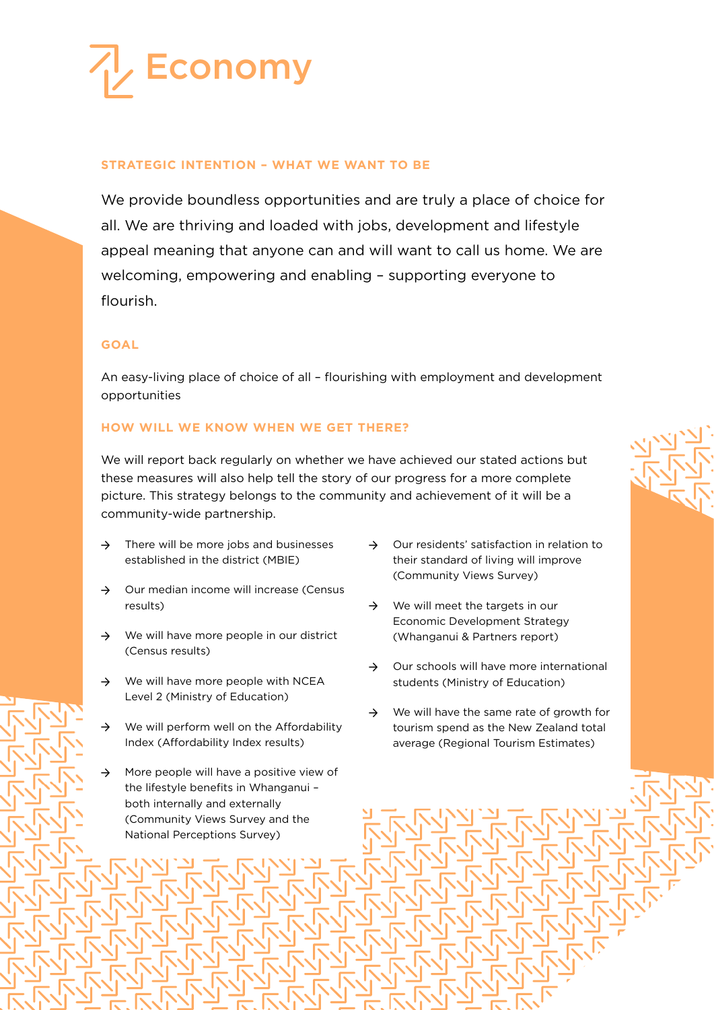

# **STRATEGIC INTENTION – WHAT WE WANT TO BE**

We provide boundless opportunities and are truly a place of choice for all. We are thriving and loaded with jobs, development and lifestyle appeal meaning that anyone can and will want to call us home. We are welcoming, empowering and enabling – supporting everyone to flourish.

## **GOAL**

An easy-living place of choice of all – flourishing with employment and development opportunities

# **HOW WILL WE KNOW WHEN WE GET THERE?**

- $\rightarrow$  There will be more jobs and businesses established in the district (MBIE)
- $\rightarrow$  Our median income will increase (Census results)
- $\rightarrow$  We will have more people in our district (Census results)
- $\rightarrow$  We will have more people with NCEA Level 2 (Ministry of Education)
- $\rightarrow$  We will perform well on the Affordability Index (Affordability Index results)
- $\rightarrow$  More people will have a positive view of the lifestyle benefits in Whanganui – both internally and externally (Community Views Survey and the National Perceptions Survey)
- → Our residents' satisfaction in relation to their standard of living will improve (Community Views Survey)
- $\rightarrow$  We will meet the targets in our Economic Development Strategy (Whanganui & Partners report)
- → Our schools will have more international students (Ministry of Education)
- $\rightarrow$  We will have the same rate of growth for tourism spend as the New Zealand total average (Regional Tourism Estimates)